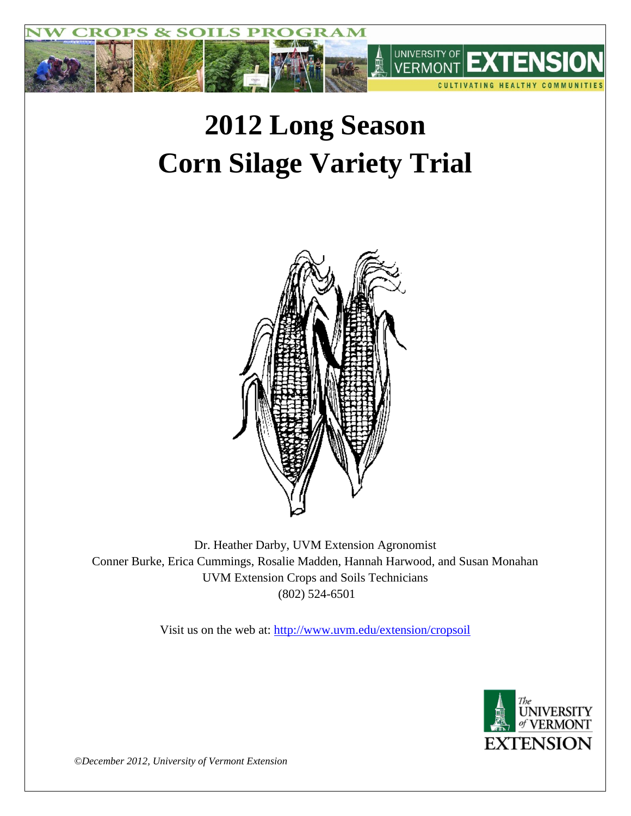

# **2012 Long Season Corn Silage Variety Trial**



Dr. Heather Darby, UVM Extension Agronomist Conner Burke, Erica Cummings, Rosalie Madden, Hannah Harwood, and Susan Monahan UVM Extension Crops and Soils Technicians (802) 524-6501

Visit us on the web at: <http://www.uvm.edu/extension/cropsoil>



*©December 2012, University of Vermont Extension*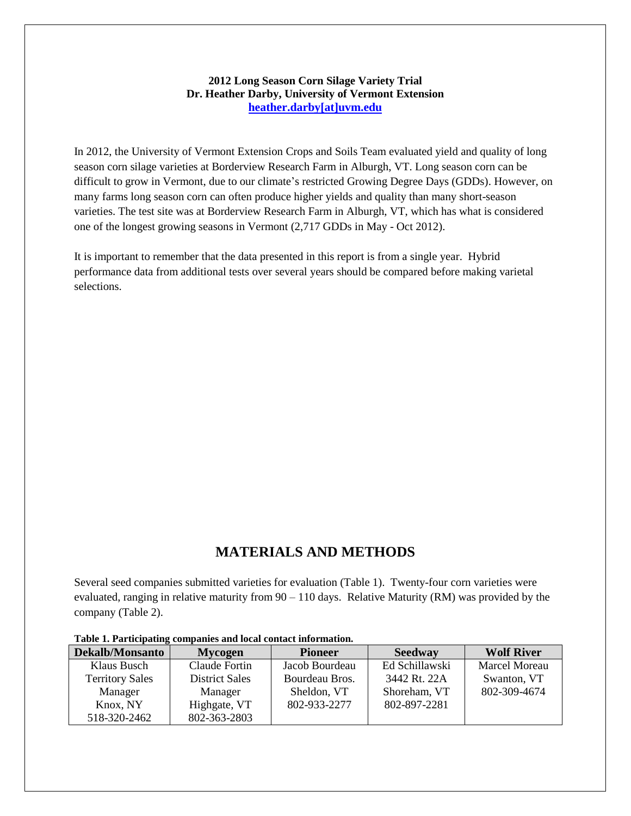### **2012 Long Season Corn Silage Variety Trial Dr. Heather Darby, University of Vermont Extension [heather.darby\[at\]uvm.edu](mailto:heather.darby@uvm.edu?subject=2012%20Short%20Season%20Corn%20Report)**

In 2012, the University of Vermont Extension Crops and Soils Team evaluated yield and quality of long season corn silage varieties at Borderview Research Farm in Alburgh, VT. Long season corn can be difficult to grow in Vermont, due to our climate's restricted Growing Degree Days (GDDs). However, on many farms long season corn can often produce higher yields and quality than many short-season varieties. The test site was at Borderview Research Farm in Alburgh, VT, which has what is considered one of the longest growing seasons in Vermont (2,717 GDDs in May - Oct 2012).

It is important to remember that the data presented in this report is from a single year. Hybrid performance data from additional tests over several years should be compared before making varietal selections.

## **MATERIALS AND METHODS**

Several seed companies submitted varieties for evaluation (Table 1). Twenty-four corn varieties were evaluated, ranging in relative maturity from 90 – 110 days. Relative Maturity (RM) was provided by the company (Table 2).

| Dekalb/Monsanto        | <b>Mycogen</b>        | <b>Pioneer</b> | <b>Seedway</b> | <b>Wolf River</b>    |  |  |
|------------------------|-----------------------|----------------|----------------|----------------------|--|--|
| Klaus Busch            | Claude Fortin         | Jacob Bourdeau | Ed Schillawski | <b>Marcel Moreau</b> |  |  |
| <b>Territory Sales</b> | <b>District Sales</b> |                | 3442 Rt. 22A   | Swanton, VT          |  |  |
| Manager                | Manager               |                | Shoreham, VT   | 802-309-4674         |  |  |
| Knox, NY               | Highgate, VT          |                | 802-897-2281   |                      |  |  |
| 518-320-2462           | 802-363-2803          |                |                |                      |  |  |

#### **Table 1. Participating companies and local contact information.**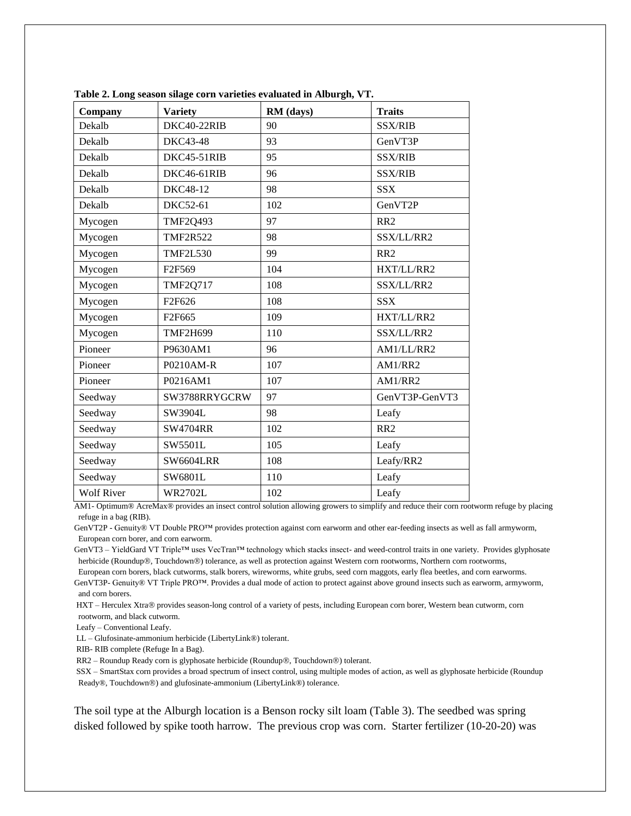| Company<br><b>Variety</b>                                                        |                  | RM (days)    | <b>Traits</b>   |  |  |  |
|----------------------------------------------------------------------------------|------------------|--------------|-----------------|--|--|--|
| Dekalb                                                                           | DKC40-22RIB      | 90           | <b>SSX/RIB</b>  |  |  |  |
| <b>DKC43-48</b><br>Dekalb                                                        |                  | 93           | GenVT3P         |  |  |  |
| Dekalb                                                                           | DKC45-51RIB      | 95           | <b>SSX/RIB</b>  |  |  |  |
| Dekalb                                                                           | DKC46-61RIB      | 96           | <b>SSX/RIB</b>  |  |  |  |
| Dekalb                                                                           | DKC48-12         | 98           | <b>SSX</b>      |  |  |  |
| Dekalb                                                                           | <b>DKC52-61</b>  | 102          | GenVT2P         |  |  |  |
| Mycogen                                                                          | <b>TMF2Q493</b>  | 97           | RR <sub>2</sub> |  |  |  |
| Mycogen                                                                          | <b>TMF2R522</b>  | 98           | SSX/LL/RR2      |  |  |  |
| Mycogen                                                                          | <b>TMF2L530</b>  | 99           | RR2             |  |  |  |
| Mycogen                                                                          | F2F569           | 104          | HXT/LL/RR2      |  |  |  |
| Mycogen<br><b>TMF2Q717</b><br>Mycogen<br>F2F626<br>Mycogen<br>F <sub>2F665</sub> |                  | 108          | SSX/LL/RR2      |  |  |  |
|                                                                                  |                  | 108          | <b>SSX</b>      |  |  |  |
|                                                                                  |                  | 109          | HXT/LL/RR2      |  |  |  |
| Mycogen<br><b>TMF2H699</b>                                                       |                  | 110          | SSX/LL/RR2      |  |  |  |
| Pioneer<br>P9630AM1                                                              |                  | 96           | AM1/LL/RR2      |  |  |  |
| Pioneer<br>P0210AM-R                                                             |                  | 107          | AM1/RR2         |  |  |  |
| Pioneer                                                                          | P0216AM1         | 107          | AM1/RR2         |  |  |  |
| Seedway                                                                          | SW3788RRYGCRW    | 97           | GenVT3P-GenVT3  |  |  |  |
| Seedway                                                                          | SW3904L          | 98           | Leafy           |  |  |  |
| Seedway<br><b>SW4704RR</b><br>Seedway<br>SW5501L                                 |                  | 102          | RR <sub>2</sub> |  |  |  |
|                                                                                  |                  | 105          | Leafy           |  |  |  |
| Seedway                                                                          | <b>SW6604LRR</b> | 108          | Leafy/RR2       |  |  |  |
| Seedway                                                                          | SW6801L          | 110          | Leafy           |  |  |  |
| <b>Wolf River</b><br><b>WR2702L</b>                                              |                  | 102<br>Leafy |                 |  |  |  |

**Table 2. Long season silage corn varieties evaluated in Alburgh, VT.**

AM1- Optimum® AcreMax® provides an insect control solution allowing growers to simplify and reduce their corn rootworm refuge by placing refuge in a bag (RIB).

GenVT2P - Genuity® VT Double PRO™ provides protection against corn earworm and other ear-feeding insects as well as fall armyworm, European corn borer, and corn earworm.

GenVT3 – YieldGard VT Triple™ uses VecTran™ technology which stacks insect- and weed-control traits in one variety. Provides glyphosate herbicide (Roundup®, Touchdown®) tolerance, as well as protection against Western corn rootworms, Northern corn rootworms,

 European corn borers, black cutworms, stalk borers, wireworms, white grubs, seed corn maggots, early flea beetles, and corn earworms. GenVT3P- Genuity® VT Triple PRO™. Provides a dual mode of action to protect against above ground insects such as earworm, armyworm,

and corn borers.

HXT – Herculex Xtra® provides season-long control of a variety of pests, including European corn borer, Western bean cutworm, corn rootworm, and black cutworm.

Leafy – Conventional Leafy.

LL – Glufosinate-ammonium herbicide (LibertyLink®) tolerant.

RIB- RIB complete (Refuge In a Bag).

RR2 – Roundup Ready corn is glyphosate herbicide (Roundup®, Touchdown®) tolerant.

SSX – SmartStax corn provides a broad spectrum of insect control, using multiple modes of action, as well as glyphosate herbicide (Roundup Ready®, Touchdown®) and glufosinate-ammonium (LibertyLink®) tolerance.

The soil type at the Alburgh location is a Benson rocky silt loam (Table 3). The seedbed was spring disked followed by spike tooth harrow. The previous crop was corn. Starter fertilizer (10-20-20) was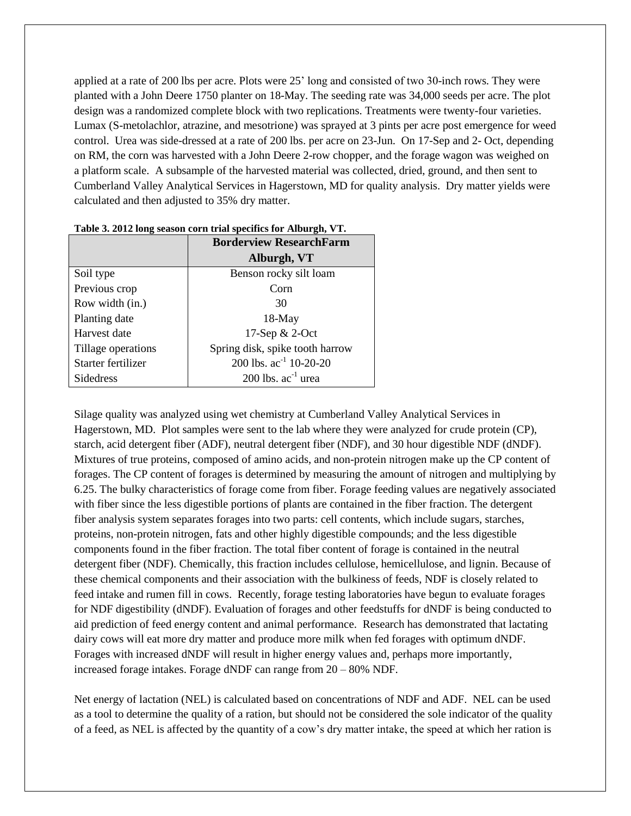applied at a rate of 200 lbs per acre. Plots were 25' long and consisted of two 30-inch rows. They were planted with a John Deere 1750 planter on 18-May. The seeding rate was 34,000 seeds per acre. The plot design was a randomized complete block with two replications. Treatments were twenty-four varieties. Lumax (S-metolachlor, atrazine, and mesotrione) was sprayed at 3 pints per acre post emergence for weed control. Urea was side-dressed at a rate of 200 lbs. per acre on 23-Jun. On 17-Sep and 2- Oct, depending on RM, the corn was harvested with a John Deere 2-row chopper, and the forage wagon was weighed on a platform scale. A subsample of the harvested material was collected, dried, ground, and then sent to Cumberland Valley Analytical Services in Hagerstown, MD for quality analysis. Dry matter yields were calculated and then adjusted to 35% dry matter.

|                    | <b>Borderview ResearchFarm</b>  |  |  |  |  |
|--------------------|---------------------------------|--|--|--|--|
|                    | Alburgh, VT                     |  |  |  |  |
| Soil type          | Benson rocky silt loam          |  |  |  |  |
| Previous crop      | Corn                            |  |  |  |  |
| Row width (in.)    | 30                              |  |  |  |  |
| Planting date      | $18-May$                        |  |  |  |  |
| Harvest date       | 17-Sep & 2-Oct                  |  |  |  |  |
| Tillage operations | Spring disk, spike tooth harrow |  |  |  |  |
| Starter fertilizer | 200 lbs. $ac^{-1}$ 10-20-20     |  |  |  |  |
| <b>Sidedress</b>   | 200 lbs. $ac^{-1}$ urea         |  |  |  |  |

| Table 3. 2012 long season corn trial specifics for Alburgh, VT. |  |  |  |
|-----------------------------------------------------------------|--|--|--|
|-----------------------------------------------------------------|--|--|--|

Silage quality was analyzed using wet chemistry at Cumberland Valley Analytical Services in Hagerstown, MD. Plot samples were sent to the lab where they were analyzed for crude protein (CP), starch, acid detergent fiber (ADF), neutral detergent fiber (NDF), and 30 hour digestible NDF (dNDF). Mixtures of true proteins, composed of amino acids, and non-protein nitrogen make up the CP content of forages. The CP content of forages is determined by measuring the amount of nitrogen and multiplying by 6.25. The bulky characteristics of forage come from fiber. Forage feeding values are negatively associated with fiber since the less digestible portions of plants are contained in the fiber fraction. The detergent fiber analysis system separates forages into two parts: cell contents, which include sugars, starches, proteins, non-protein nitrogen, fats and other highly digestible compounds; and the less digestible components found in the fiber fraction. The total fiber content of forage is contained in the neutral detergent fiber (NDF). Chemically, this fraction includes cellulose, hemicellulose, and lignin. Because of these chemical components and their association with the bulkiness of feeds, NDF is closely related to feed intake and rumen fill in cows. Recently, forage testing laboratories have begun to evaluate forages for NDF digestibility (dNDF). Evaluation of forages and other feedstuffs for dNDF is being conducted to aid prediction of feed energy content and animal performance. Research has demonstrated that lactating dairy cows will eat more dry matter and produce more milk when fed forages with optimum dNDF. Forages with increased dNDF will result in higher energy values and, perhaps more importantly, increased forage intakes. Forage dNDF can range from 20 – 80% NDF.

Net energy of lactation (NEL) is calculated based on concentrations of NDF and ADF. NEL can be used as a tool to determine the quality of a ration, but should not be considered the sole indicator of the quality of a feed, as NEL is affected by the quantity of a cow's dry matter intake, the speed at which her ration is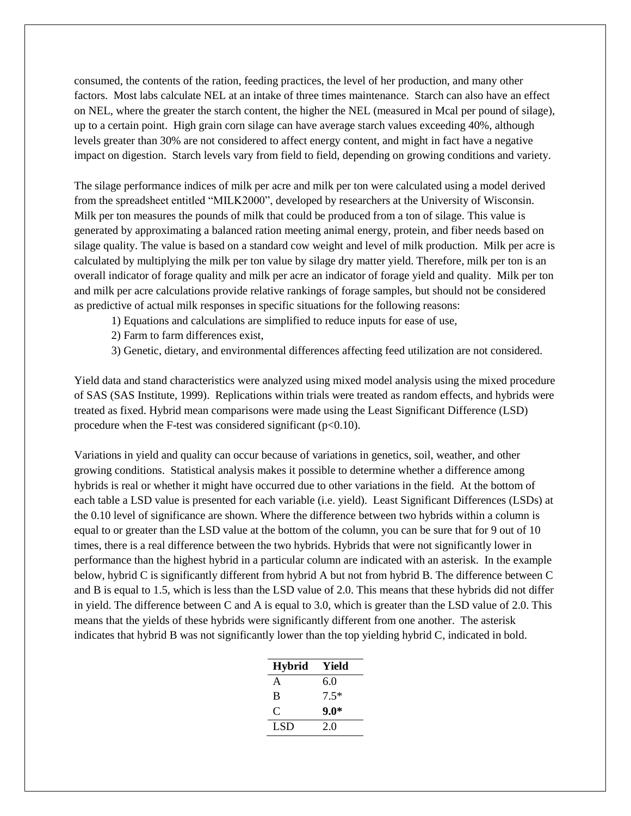consumed, the contents of the ration, feeding practices, the level of her production, and many other factors. Most labs calculate NEL at an intake of three times maintenance. Starch can also have an effect on NEL, where the greater the starch content, the higher the NEL (measured in Mcal per pound of silage), up to a certain point. High grain corn silage can have average starch values exceeding 40%, although levels greater than 30% are not considered to affect energy content, and might in fact have a negative impact on digestion. Starch levels vary from field to field, depending on growing conditions and variety.

The silage performance indices of milk per acre and milk per ton were calculated using a model derived from the spreadsheet entitled "MILK2000", developed by researchers at the University of Wisconsin. Milk per ton measures the pounds of milk that could be produced from a ton of silage. This value is generated by approximating a balanced ration meeting animal energy, protein, and fiber needs based on silage quality. The value is based on a standard cow weight and level of milk production. Milk per acre is calculated by multiplying the milk per ton value by silage dry matter yield. Therefore, milk per ton is an overall indicator of forage quality and milk per acre an indicator of forage yield and quality. Milk per ton and milk per acre calculations provide relative rankings of forage samples, but should not be considered as predictive of actual milk responses in specific situations for the following reasons:

- 1) Equations and calculations are simplified to reduce inputs for ease of use,
- 2) Farm to farm differences exist,
- 3) Genetic, dietary, and environmental differences affecting feed utilization are not considered.

Yield data and stand characteristics were analyzed using mixed model analysis using the mixed procedure of SAS (SAS Institute, 1999). Replications within trials were treated as random effects, and hybrids were treated as fixed. Hybrid mean comparisons were made using the Least Significant Difference (LSD) procedure when the F-test was considered significant  $(p<0.10)$ .

Variations in yield and quality can occur because of variations in genetics, soil, weather, and other growing conditions. Statistical analysis makes it possible to determine whether a difference among hybrids is real or whether it might have occurred due to other variations in the field. At the bottom of each table a LSD value is presented for each variable (i.e. yield). Least Significant Differences (LSDs) at the 0.10 level of significance are shown. Where the difference between two hybrids within a column is equal to or greater than the LSD value at the bottom of the column, you can be sure that for 9 out of 10 times, there is a real difference between the two hybrids. Hybrids that were not significantly lower in performance than the highest hybrid in a particular column are indicated with an asterisk. In the example below, hybrid C is significantly different from hybrid A but not from hybrid B. The difference between C and B is equal to 1.5, which is less than the LSD value of 2.0. This means that these hybrids did not differ in yield. The difference between C and A is equal to 3.0, which is greater than the LSD value of 2.0. This means that the yields of these hybrids were significantly different from one another. The asterisk indicates that hybrid B was not significantly lower than the top yielding hybrid C, indicated in bold.

| <b>Hybrid</b> | Yield  |
|---------------|--------|
| A             | 6.0    |
| B             | $7.5*$ |
| ⊖             | $9.0*$ |
| LSD           | 2.0    |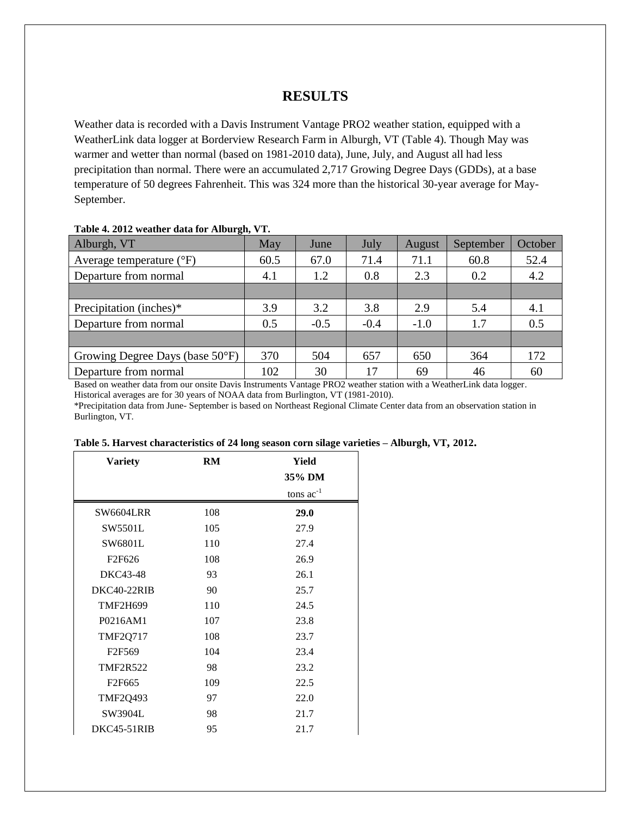## **RESULTS**

Weather data is recorded with a Davis Instrument Vantage PRO2 weather station, equipped with a WeatherLink data logger at Borderview Research Farm in Alburgh, VT (Table 4). Though May was warmer and wetter than normal (based on 1981-2010 data), June, July, and August all had less precipitation than normal. There were an accumulated 2,717 Growing Degree Days (GDDs), at a base temperature of 50 degrees Fahrenheit. This was 324 more than the historical 30-year average for May-September.

| $\sigma$ ,<br>Alburgh, VT         | May  | June   | July   | August | September | October |
|-----------------------------------|------|--------|--------|--------|-----------|---------|
| Average temperature $(^{\circ}F)$ | 60.5 | 67.0   | 71.4   | 71.1   | 60.8      | 52.4    |
| Departure from normal             | 4.1  | 1.2    | 0.8    | 2.3    | 0.2       | 4.2     |
|                                   |      |        |        |        |           |         |
| Precipitation (inches)*           | 3.9  | 3.2    | 3.8    | 2.9    | 5.4       | 4.1     |
| Departure from normal             | 0.5  | $-0.5$ | $-0.4$ | $-1.0$ | 1.7       | 0.5     |
|                                   |      |        |        |        |           |         |
| Growing Degree Days (base 50°F)   | 370  | 504    | 657    | 650    | 364       | 172     |
| Departure from normal             | 102  | 30     | 17     | 69     | 46        | 60      |

#### **Table 4. 2012 weather data for Alburgh, VT.**

Based on weather data from our onsite Davis Instruments Vantage PRO2 weather station with a WeatherLink data logger. Historical averages are for 30 years of NOAA data from Burlington, VT (1981-2010).

\*Precipitation data from June- September is based on Northeast Regional Climate Center data from an observation station in Burlington, VT.

| <b>Variety</b>     | RM  | Yield          |
|--------------------|-----|----------------|
|                    |     | 35% DM         |
|                    |     | tons $ac^{-1}$ |
| <b>SW6604LRR</b>   | 108 | 29.0           |
| SW5501L            | 105 | 27.9           |
| SW6801L            | 110 | 27.4           |
| F <sub>2F626</sub> | 108 | 26.9           |
| DKC43-48           | 93  | 26.1           |
| DKC40-22RIB        | 90  | 25.7           |
| <b>TMF2H699</b>    | 110 | 24.5           |
| P0216AM1           | 107 | 23.8           |
| <b>TMF2Q717</b>    | 108 | 23.7           |
| F <sub>2F569</sub> | 104 | 23.4           |
| <b>TMF2R522</b>    | 98  | 23.2           |
| F <sub>2F665</sub> | 109 | 22.5           |
| <b>TMF2Q493</b>    | 97  | 22.0           |
| SW3904L            | 98  | 21.7           |
| DKC45-51RIB        | 95  | 21.7           |

**Table 5. Harvest characteristics of 24 long season corn silage varieties – Alburgh, VT, 2012.**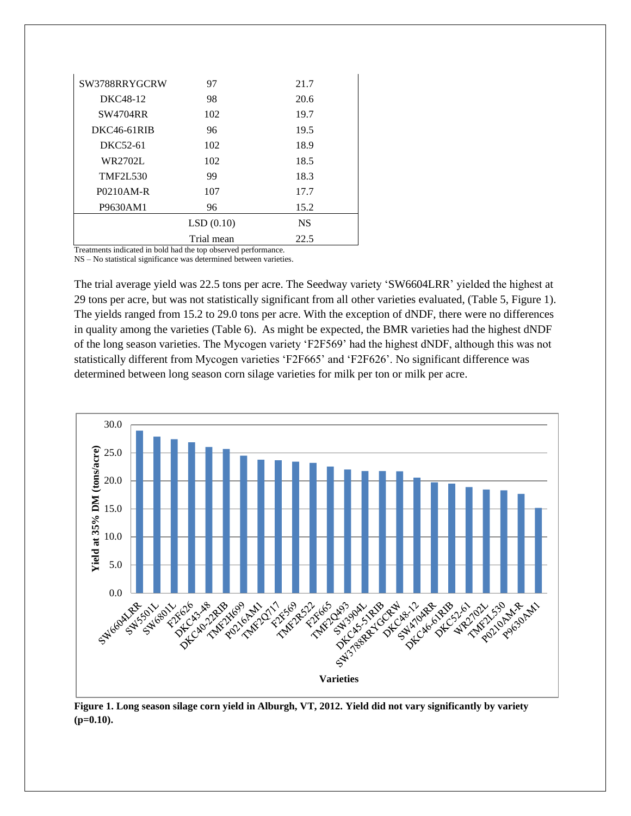| SW3788RRYGCRW                                                 | 97         | 21.7      |  |  |  |  |  |  |
|---------------------------------------------------------------|------------|-----------|--|--|--|--|--|--|
| DKC48-12                                                      | 98         | 20.6      |  |  |  |  |  |  |
| <b>SW4704RR</b>                                               | 102        | 19.7      |  |  |  |  |  |  |
| DKC46-61RIB                                                   | 96         | 19.5      |  |  |  |  |  |  |
| DKC52-61                                                      | 102        | 18.9      |  |  |  |  |  |  |
| WR2702L                                                       | 102        | 18.5      |  |  |  |  |  |  |
| <b>TMF2L530</b>                                               | 99         | 18.3      |  |  |  |  |  |  |
| P0210AM-R                                                     | 107        | 17.7      |  |  |  |  |  |  |
| P9630AM1                                                      | 96         | 15.2      |  |  |  |  |  |  |
|                                                               | LSD(0.10)  | <b>NS</b> |  |  |  |  |  |  |
|                                                               | Trial mean | 22.5      |  |  |  |  |  |  |
| Treatments indicated in hold had the top observed performance |            |           |  |  |  |  |  |  |

Treatments indicated in bold had the top observed performance. NS – No statistical significance was determined between varieties.

The trial average yield was 22.5 tons per acre. The Seedway variety 'SW6604LRR' yielded the highest at 29 tons per acre, but was not statistically significant from all other varieties evaluated, (Table 5, Figure 1). The yields ranged from 15.2 to 29.0 tons per acre. With the exception of dNDF, there were no differences in quality among the varieties (Table 6). As might be expected, the BMR varieties had the highest dNDF of the long season varieties. The Mycogen variety 'F2F569' had the highest dNDF, although this was not statistically different from Mycogen varieties 'F2F665' and 'F2F626'. No significant difference was determined between long season corn silage varieties for milk per ton or milk per acre.



**Figure 1. Long season silage corn yield in Alburgh, VT, 2012. Yield did not vary significantly by variety (p=0.10).**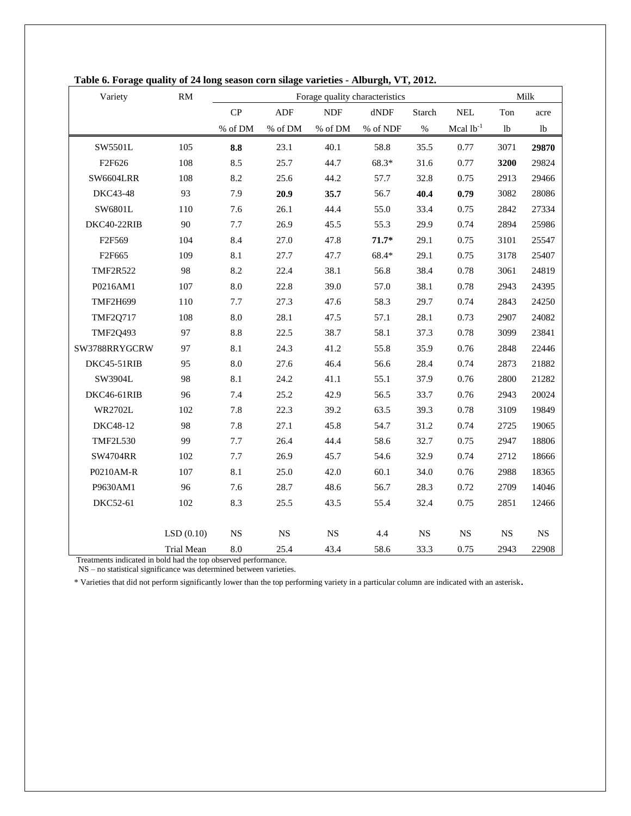| Variety          | <b>RM</b>  | Forage quality characteristics |             |             |                 | Milk        |                      |                |              |
|------------------|------------|--------------------------------|-------------|-------------|-----------------|-------------|----------------------|----------------|--------------|
|                  |            | CP                             | ${\sf ADF}$ | <b>NDF</b>  | $d\mathrm{NDF}$ | Starch      | $\operatorname{NEL}$ | Ton            | acre         |
|                  |            | $\%$ of DM                     | $\%$ of DM  | $\%$ of DM  | % of NDF        | $\%$        | Mcal $lb^{-1}$       | 1 <sub>b</sub> | <sup>1</sup> |
| SW5501L          | 105        | 8.8                            | 23.1        | 40.1        | 58.8            | 35.5        | 0.77                 | 3071           | 29870        |
| F2F626           | 108        | 8.5                            | 25.7        | 44.7        | 68.3*           | 31.6        | 0.77                 | 3200           | 29824        |
| <b>SW6604LRR</b> | 108        | 8.2                            | 25.6        | 44.2        | 57.7            | 32.8        | 0.75                 | 2913           | 29466        |
| DKC43-48         | 93         | 7.9                            | 20.9        | 35.7        | 56.7            | 40.4        | 0.79                 | 3082           | 28086        |
| SW6801L          | 110        | 7.6                            | 26.1        | 44.4        | 55.0            | 33.4        | 0.75                 | 2842           | 27334        |
| DKC40-22RIB      | 90         | 7.7                            | 26.9        | 45.5        | 55.3            | 29.9        | 0.74                 | 2894           | 25986        |
| F2F569           | 104        | 8.4                            | 27.0        | 47.8        | $71.7*$         | 29.1        | 0.75                 | 3101           | 25547        |
| F2F665           | 109        | 8.1                            | 27.7        | 47.7        | 68.4*           | 29.1        | 0.75                 | 3178           | 25407        |
| <b>TMF2R522</b>  | 98         | 8.2                            | 22.4        | 38.1        | 56.8            | 38.4        | 0.78                 | 3061           | 24819        |
| P0216AM1         | 107        | 8.0                            | 22.8        | 39.0        | 57.0            | 38.1        | 0.78                 | 2943           | 24395        |
| <b>TMF2H699</b>  | 110        | 7.7                            | 27.3        | 47.6        | 58.3            | 29.7        | 0.74                 | 2843           | 24250        |
| <b>TMF2Q717</b>  | 108        | 8.0                            | 28.1        | 47.5        | 57.1            | 28.1        | 0.73                 | 2907           | 24082        |
| <b>TMF2Q493</b>  | 97         | 8.8                            | 22.5        | 38.7        | 58.1            | 37.3        | 0.78                 | 3099           | 23841        |
| SW3788RRYGCRW    | 97         | 8.1                            | 24.3        | 41.2        | 55.8            | 35.9        | 0.76                 | 2848           | 22446        |
| DKC45-51RIB      | 95         | 8.0                            | 27.6        | 46.4        | 56.6            | 28.4        | 0.74                 | 2873           | 21882        |
| SW3904L          | 98         | 8.1                            | 24.2        | 41.1        | 55.1            | 37.9        | 0.76                 | 2800           | 21282        |
| DKC46-61RIB      | 96         | 7.4                            | 25.2        | 42.9        | 56.5            | 33.7        | 0.76                 | 2943           | 20024        |
| <b>WR2702L</b>   | 102        | 7.8                            | 22.3        | 39.2        | 63.5            | 39.3        | 0.78                 | 3109           | 19849        |
| DKC48-12         | 98         | 7.8                            | 27.1        | 45.8        | 54.7            | 31.2        | 0.74                 | 2725           | 19065        |
| <b>TMF2L530</b>  | 99         | 7.7                            | 26.4        | 44.4        | 58.6            | 32.7        | 0.75                 | 2947           | 18806        |
| <b>SW4704RR</b>  | 102        | 7.7                            | 26.9        | 45.7        | 54.6            | 32.9        | 0.74                 | 2712           | 18666        |
| P0210AM-R        | 107        | 8.1                            | 25.0        | 42.0        | 60.1            | 34.0        | 0.76                 | 2988           | 18365        |
| P9630AM1         | 96         | 7.6                            | 28.7        | 48.6        | 56.7            | 28.3        | 0.72                 | 2709           | 14046        |
| DKC52-61         | 102        | 8.3                            | 25.5        | 43.5        | 55.4            | 32.4        | 0.75                 | 2851           | 12466        |
|                  |            |                                |             |             |                 |             |                      |                |              |
|                  | LSD(0.10)  | NS                             | NS          | $_{\rm NS}$ | 4.4             | $_{\rm NS}$ | <b>NS</b>            | $_{\rm NS}$    | $_{\rm NS}$  |
|                  | Trial Mean | 8.0                            | 25.4        | 43.4        | 58.6            | 33.3        | 0.75                 | 2943           | 22908        |

**Table 6. Forage quality of 24 long season corn silage varieties - Alburgh, VT, 2012.**

Treatments indicated in bold had the top observed performance.

NS – no statistical significance was determined between varieties.

\* Varieties that did not perform significantly lower than the top performing variety in a particular column are indicated with an asterisk.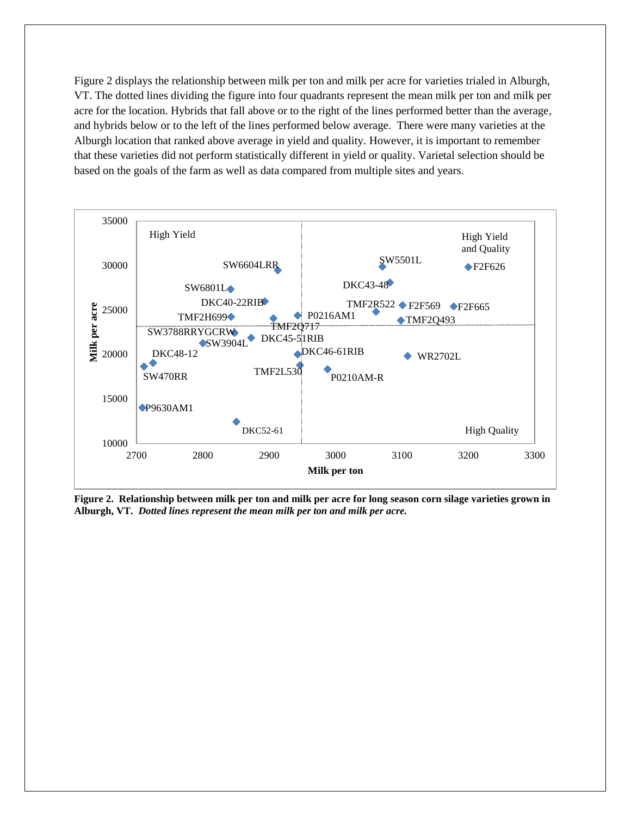Figure 2 displays the relationship between milk per ton and milk per acre for varieties trialed in Alburgh, VT. The dotted lines dividing the figure into four quadrants represent the mean milk per ton and milk per acre for the location. Hybrids that fall above or to the right of the lines performed better than the average, and hybrids below or to the left of the lines performed below average. There were many varieties at the Alburgh location that ranked above average in yield and quality. However, it is important to remember that these varieties did not perform statistically different in yield or quality. Varietal selection should be based on the goals of the farm as well as data compared from multiple sites and years.



**Figure 2. Relationship between milk per ton and milk per acre for long season corn silage varieties grown in Alburgh, VT.** *Dotted lines represent the mean milk per ton and milk per acre.*